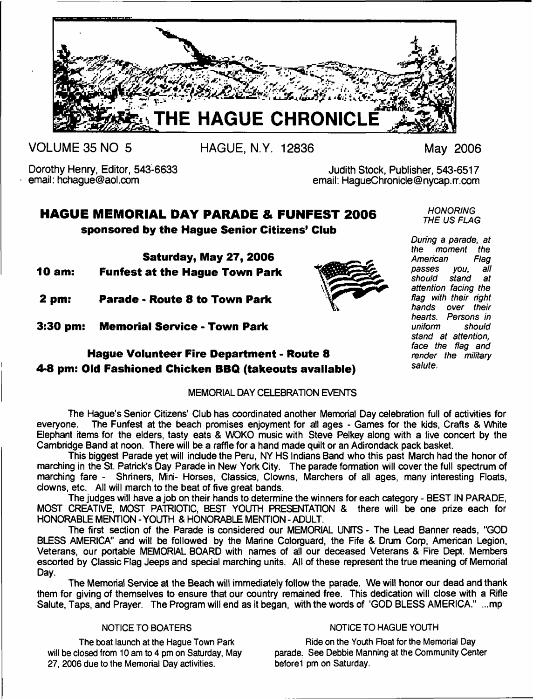

**VOLUME 35 NO 5**

**HAGUE, N.Y. 12836 May 2006**

Dorothy Henry, Editor, 543-6633 email: [hchague@aol.com](mailto:hchague@aol.com)

Judith Stock, Publisher, 543-6517 email: [HagueChronicle@nycap.rr.com](mailto:HagueChronicle@nycap.rr.com)

# **HAGUE MEMORIAL DAY PARADE & FUNFEST 2006 sponsored by the Hague Senior Citizens' Club**

**Saturday, May 27, 2006**

**10 am: Funfest at the Hague Town Park**

**2 pm: Parade - Route 8 to Town Park**

**3:30 pm: Memorial Service - Town Park**

# **Hague Volunteer Fire Department - Route 8 4-8 pm: Old Fashioned Chicken BBQ (takeouts available)**

### MEMORIAL DAY CELEBRATION EVENTS

The Hague's Senior Citizens' Club has coordinated another Memorial Day celebration full of activities for everyone. The Funfest at the beach promises enjoyment for all ages - Games for the kids, Crafts & White Elephant items for the elders, tasty eats & WOKO music with Steve Pelkey along with a live concert by the Cambridge Band at noon. There will be a raffle for a hand made quilt or an Adirondack pack basket.

This biggest Parade yet will include the Peru, NY HS Indians Band who this past March had the honor of marching in the St. Patrick's Day Parade in New York City. The parade formation will cover the full spectrum of marching fare - Shriners, Mini- Horses, Classics, Clowns, Marchers of all ages, many interesting Floats, clowns, etc. All will march to the beat of five great bands.

The judges will have a job on their hands to determine the winners for each category - BEST IN PARADE, MOST CREATIVE, MOST PATRIOTIC, BEST YOUTH PRESENTATION & there will be one prize each for HONORABLE MENTION - YOUTH & HONORABLE MENTION - ADULT.

The first section of the Parade is considered our MEMORIAL UNITS - The Lead Banner reads, "GOD BLESS AMERICA" and will be followed by the Marine Colorguard, the Fife & Drum Corp. American Legion, Veterans, our portable MEMORIAL BOARD with names of all our deceased Veterans & Fire Dept. Members escorted by Classic Flag Jeeps and special marching units. All of these represent the true meaning of Memorial Day.

The Memorial Service at the Beach will immediately follow the parade. We will honor our dead and thank them for giving of themselves to ensure that our country remained free. This dedication will close with a Rifle Salute, Taps, and Prayer. The Program will end as it began, with the words of 'GOD BLESS AMERICA." ...mp

**27, 2006 due to the Memorial Day activities. before 1 pm on Saturday.**

#### **NOTICE TO BOATERS NOTICE TO HAGUE YOUTH**

**The boat launch at the Hague Town Park Figure 8 All Park Ride on the Youth Float for the Memorial Day will be closed from 10 am to 4 pm on Saturday, May parade. See Debbie Manning at the Community Center**

*HONORING THE US FLAG*

*During a parade, at the moment the American Flag passes you, all should stand at attention facing the flag with their right hands over their hearts. Persons in uniform should stand at attention, face the flag and render the military salute.*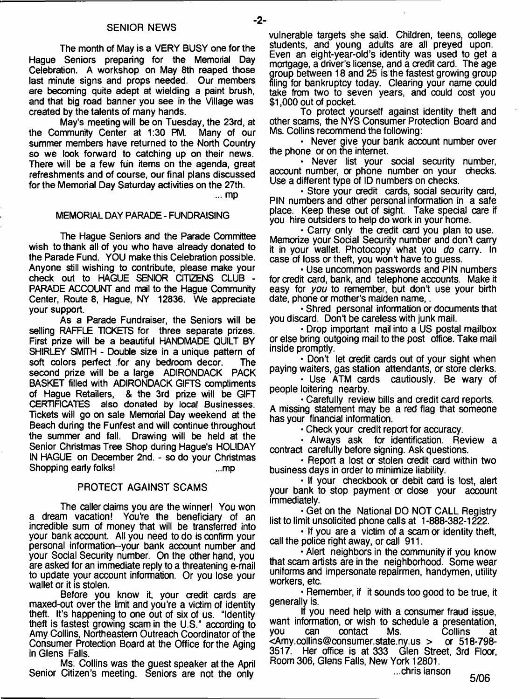**The month of May is a VERY BUSY one for the Hague Seniors preparing for the Memorial Day Celebration. A workshop on May 8th reaped those last minute signs and props needed. Our members are becoming quite adept at wielding a paint brush, and that big road banner you see in the Village was created by the talents of many hands.**

**May's meeting will be on Tuesday, the 23rd, at the Community Center at 1:30 PM. Many of our summer members have returned to the North Country so we look forward to catching up on their news. There will be a few fun items on the agenda, great refreshments and of course, our final plans discussed for the Memorial Day Saturday activities on the 27th.**

... mp

#### **MEMORIAL DAY PARADE - FUNDRAISING**

**The Hague Seniors and the Parade Committee wish to thank all of you who have already donated to the Parade Fund. YOU make this Celebration possible. Anyone still wishing to contribute, please make your check out to HAGUE SENIOR CITIZENS CLUB - PARADE ACCOUNT and mail to the Hague Community Center, Route 8, Hague, NY 12836. We appreciate your support.**

**As a Parade Fundraiser, the Seniors will be selling RAFFLE TICKETS for three separate prizes. First prize will be a beautiful HANDMADE QUILT BY SHIRLEY SMITH - Double size in a unique pattern of** soft colors perfect for any bedroom decor. The **second prize will be a large ADIRONDACK PACK BASKET filled with ADIRONDACK GIFTS compliments of Hague Retailers, & the 3rd prize will be GIFT CERTIFICATES also donated by local Businesses. Tickets will go on sale Memorial Day weekend at the Beach during the Funfest and will continue throughout the summer and fall. Drawing will be held at the Senior Christmas Tree Shop during Hague's HOLIDAY IN HAGUE on December 2nd. - so do your Christmas Shopping early folks! ...mp**

#### PROTECT AGAINST SCAMS

The caller claims you are the winner! You won a dream vacation! You're the beneficiary of an incredible sum of money that will be transferred into your bank account. All you need to do is confirm your personal information--your bank account number and your Social Security number. On the other hand, you are asked for an immediate reply to a threatening e-mail to update your account information. Or you lose your wallet or it is stolen.

Before you know it, your credit cards are maxed-out over the limit and you're a victim of identity theft. It's happening to one out of six of us. "Identity theft is fastest growing scam in the U.S." according to Amy Collins, Northeastern Outreach Coordinator of the Consumer Protection Board at the Office for the Aging in Glens Falls.

Ms. Collins was the guest speaker at the April Senior Citizen's meeting. Seniors are not the only

vulnerable targets she said. Children, teens, college students, and young adults are all preyed upon. Even an eight-year-old's identity was used to get a mortgage, a driver's license, and a credit card. The age group between 18 and 25 is the fastest growing group filing for bankruptcy today. Clearing your name could take from two to seven years, and could cost you \$1,000 out of pocket.

To protect yourself against identity theft and other scams, the NYS Consumer Protection Board and Ms. Collins recommend the following:

• Never give your bank account number over the phone or on the internet.

• Never list your social security number, account number, or phone number on your checks. Use a different type of ID numbers on checks.

• Store your credit cards, social security card, PIN numbers and other personal information in a safe place. Keep these out of sight. Take special care if you hire outsiders to help do work in your home.

• Carry only the credit card you plan to use. Memorize your Social Security number and don't carry it in your wallet. Photocopy what you *do* carry. In case of loss or theft, you won't have to guess.

• Use uncommon passwords and PIN numbers for credit card, bank, and telephone accounts. Make it easy for *you* to remember, but don't use your birth date, phone or mother's maiden name,.

• Shred personal information or documents that you discard. Don't be careless with junk mail.

• Drop important mail into a US postal mailbox or else bring outgoing mail to the post office. Take mail inside promptly.

• Don't let credit cards out of your sight when paying waiters, gas station attendants, or store clerks.

• Use ATM cards cautiously. Be wary of people loitering nearby.

• Carefully review bills and credit card reports. A missing statement may be a red flag that someone has your financial information.

• Check your credit report for accuracy.

• Always ask for identification. Review a contract carefully before signing. Ask questions.

• Report a lost or stolen credit card within two business days in order to minimize liability.

• If your checkbook or debit card is lost, alert your bank to stop payment or dose your account immediately.

• Get on the National DO NOT CALL Registry list to limit unsolicited phone calls at 1-888-382-1222.

• If you are a victim of a scam or identity theft, call the police right away, or call 911.

• Alert neighbors in the community if you know that scam artists are in the neighborhood. Some wear uniforms and impersonate repairmen, handymen, utility workers, etc.

• Remember, if it sounds too good to be true, it generally is.

If you need help with a consumer fraud issue, want information, or wish to schedule a presentation, you can contact Ms. Collins at<br><Amy.collins@consumer.state.ny.us > or 518-798- $\leq$ [Amy.collins@consumer.state.ny.us](mailto:Amy.collins@consumer.state.ny.us) > 3517. Her office is at 333 Glen Street, 3rd Floor, Room 306, Glens Falls, New York 12801.

...chris ianson

**5/06**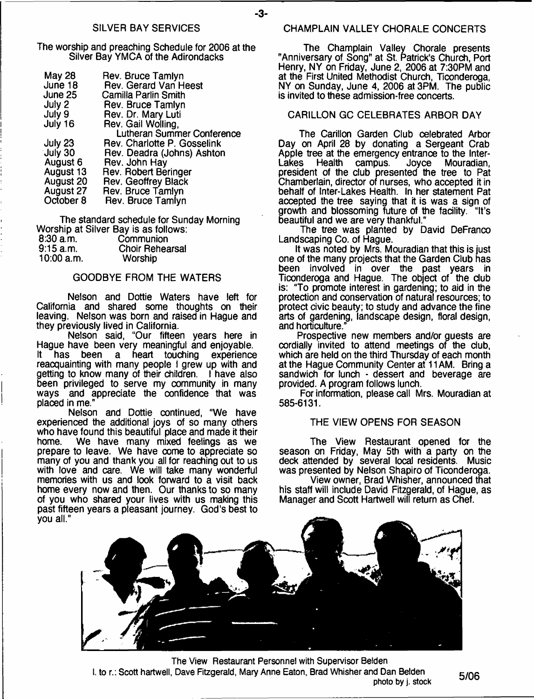#### SILVER BAY SERVICES

The worship and preaching Schedule for 2006 at the Silver Bay YMCA of the Adirondacks

| <b>May 28</b> | Rev. Bruce Tamlyn           |
|---------------|-----------------------------|
| June 18       | Rev. Gerard Van Heest       |
| June 25       | Camilla Parlin Smith        |
| July 2        | Rev. Bruce Tamlyn           |
| July 9        | Rev. Dr. Mary Luti          |
| July 16       | Rev. Gail Wolling,          |
|               | Lutheran Summer Conference  |
| July 23       | Rev. Charlotte P. Gosselink |
| July 30       | Rev. Deadra (Johns) Ashton  |
| August 6      | Rev. John Hay               |
| August 13     | Rev. Robert Beringer        |
| August 20     | Rev. Geoffrey Black         |
| August 27     | Rev. Bruce Tamlyn           |
| October 8     | Rev. Bruce Tamlyn           |

The standard schedule for Sunday Morning Worship at Silver Bay is as follows: 8:30 a.m. Communion<br>9:15 a.m. Choir Rehea Choir Rehearsal<br>Worship  $10:00$  a.m.

#### GOODBYE FROM THE WATERS

Nelson and Dottie Waters have left for California and shared some thoughts on their leaving. Nelson was born and raised in Hague and they previously lived in California.

Nelson said, "Our fifteen years here in Hague have been very meaningful and enjoyable. It has been a heart touching experience reacquainting with many people I grew up with and getting to know many of their children. I have also been privileged to serve my community in many ways and appreciate the confidence that was placed in me."

Nelson and Dottie continued, "We have experienced the additional joys of so many others who have found this beautiful place and made it their<br>home. We have many mixed feelings as we home. We have many mixed feelings as we prepare to leave. We have come to appreciate so many of you and thank you all for reaching out to us with love and care. We will take many wonderful memories with us and look forward to a visit back home every now and then. Our thanks to so many of you who shared your lives with us making this past fifteen years a pleasant journey. God's best to you all."

#### CHAMPLAIN VALLEY CHORALE CONCERTS

The Champlain Valley Chorale presents "Anniversary of Song" at St. Patrick's Church, Port Henry, NY on Friday, June 2, 2006 at 7:30PM and at the First United Methodist Church, Ticonderoga, NY on Sunday, June 4, 2006 at 3PM. The public is invited to these admission-free concerts.

### CARILLON GC CELEBRATES ARBOR DAY

The Carillon Garden Club celebrated Arbor Day on April 28 by donating a Sergeant Crab Apple tree at the emergency entrance to the Inter-Lakes Health campus. Joyce Mouradian, president of the club presented the tree to Pat Chamberlain, director of nurses, who accepted it in behalf of Inter-Lakes Health. In her statement Pat accepted the tree saying that it is was a sign of growth and blossoming future of the facility. "It's beautiful and we are very thankful."

The tree was planted by David DeFranco Landscaping Co. of Hague.

It was noted by Mrs. Mouradian that this is just one of the many projects that the Garden Club has been involved in over the past years in Ticonderoga and Hague. The object of the dub is: "To promote interest in gardening; to aid in the protection and conservation of natural resources; to protect civic beauty; to study and advance the fine arts of gardening, landscape design, floral design, and horticulture."

Prospective new members and/or guests are cordially invited to attend meetings of the dub, which are held on the third Thursday of each month at the Hague Community Center at 11 AM. Bring a sandwich for lunch - dessert and beverage are provided. A program follows lunch.

For information, please call Mrs. Mouradian at 585-6131.

#### THE VIEW OPENS FOR SEASON

The View Restaurant opened for the season on Friday, May 5th with a party on the deck attended by several local residents. Music was presented by Nelson Shapiro of Ticonderoga.

View owner, Brad Whisher, announced that his staff will include David Fitzgerald, of Hague, as Manager and Scott Hartwell will return as Chef.



**The View Restaurant Personnel with Supervisor Belden I. to r.: Scott hartwell, Dave Fitzgerald, Mary Anne Eaton, Brad Whisher and Dan Belden photo by j. stock 5/06**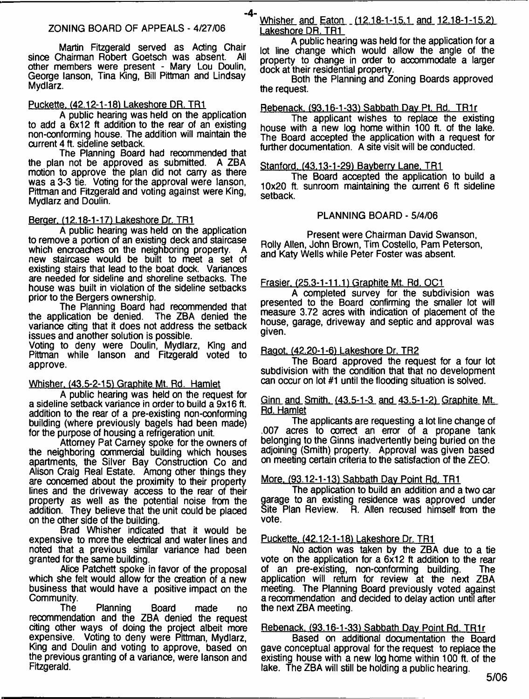Martin Fitzgerald served as Acting Chair since Chairman Robert Goetsch was absent. other members were present - Mary Lou Doulin, George lanson, Tina King, Bill Pittman and Lindsay Mydlarz.

#### Puckette. (42.12-1-18) Lakeshore DR. TR1

A public hearing was held on the application to add a 6x12 ft addition to the rear of an existing non-conforming house. The addition will maintain the current 4 ft. sideline setback.

The Planning Board had recommended that the plan not be approved as submitted. A ZBA motion to approve the plan did not carry as there was a 3-3 tie. Voting for the approval were lanson. Pittman and Fitzgerald and voting against were King, Mydlarz and Doulin.

#### Berger. (12.18-1-17) Lakeshore Dr. TR1

A public hearing was held on the application to remove a portion of an existing deck and staircase which encroaches on the neighboring property. A new staircase would be built to meet a set of existing stairs that lead to the boat dock. Variances are needed for sideline and shoreline setbacks. The house was built in violation of the sideline setbacks prior to the Bergers ownership.

The Planning Board had recommended that the application be denied. The ZBA denied the variance citing that it does not address the setback issues and another solution is possible.

Voting to deny were Doulin, Mydlarz, King and Pittman while lanson and Fitzgerald voted to approve.

#### Whisher. (43.5-2-151 Graphite Mt. Rd. Hamlet

A public hearing was held on the request for a sideline setback variance in order to build a 9x16 ft. addition to the rear of a pre-existing non-conforming building (where previously bagels had been made) for the purpose of housing a refrigeration unit.

Attorney Pat Carney spoke for the owners of the neighboring commercial building which houses apartments, the Silver Bay Construction Co and Alison Craig Real Estate. Among other things they are concerned about the proximity to their property lines and the driveway access to the rear of their property as well as the potential noise from the addition. They believe that the unit could be placed on the other side of the building.

Brad Whisher indicated that it would be expensive to more the electrical and water lines and noted that a previous similar variance had been granted for the same building.

Alice Patchett spoke in favor of the proposal which she felt would allow for the creation of a new business that would have a positive impact on the Community.

The Planning Board made no recommendation and the ZBA denied the request citing other ways of doing the project albeit more expensive. Voting to deny were Pittman, Mydlarz, King and Doulin and voting to approve, based on the previous granting of a variance, were lanson and Fitzgerald.

-4-Whisher and Eaton (12.18-1-15.1 and 12.18-1-15.2) Lakeshore DR. TR1

A public hearing was held for the application for a lot line change which would allow the angle of the property to change in order to accommodate a larger dock at their residential property.

Both the Planning and Zoning Boards approved the request.

#### Rebenack. (93,16-1-33) Sabbath Day Pt. Rd. TR1r

The applicant wishes to replace the existing house with a new log home within 100 ft. of the lake. The Board accepted the application with a request for further documentation. A site visit will be conducted.

#### Stanford. (43.13-1-29) Bayberry Lane. TR1

The Board accepted the application to build a 10x20 ft. sunroom maintaining the current 6 ft sideline setback.

#### PLANNING BOARD - 5/4/06

Present were Chairman David Swanson, Roily Allen, John Brown, Tim Costello, Pam Peterson, and Katy Wells while Peter Foster was absent.

#### Frasier. (25.3-1-11.1) Graphite Mt. Rd. OC1

A completed survey for the subdivision was presented to the Board confirming the smaller lot will measure 3.72 acres with indication of placement of the house, garage, driveway and septic and approval was given.

#### Ragot. (42.20-1-6) Lakeshore Dr. TR2

The Board approved the request for a four lot subdivision with the condition that that no development can occur on lot #1 until the flooding situation is solved.

#### Ginn and Smith. <43.5-1-3 and 43.5-1-21 Graphite Mt. Rd. Hamlet

The applicants are requesting a lot line change of .007 acres to correct an error of a propane tank belonging to the Ginns inadvertently being buried on the adjoining (Smith) property. Approval was given based on meeting certain criteria to the satisfaction of the ZEO.

#### More. (93.12-1-13) Sabbath Day Point Rd. TR1

The application to build an addition and a two car garage to an existing residence was approved under Site Plan Review. F. Allen recused himself from the vote.

#### Puckette. (42.12-1-18) Lakeshore Dr. TR1

No action was taken by the ZBA due to a tie vote on the application for a 6x12 ft addition to the rear of an pre-existing, non-conforming building. The application will return for review at the next ZBA meeting. The Planning Board previously voted against a recommendation and decided to delay action until after the next ZBA meeting.

#### Rebenack. (93.16-1-33) Sabbath Day Point Rd. TR1r

Based on additional documentation the Board gave conceptual approval for the request to replace the existing house with a new log home within 100 ft. of the lake. The ZBA will still be holding a public hearing.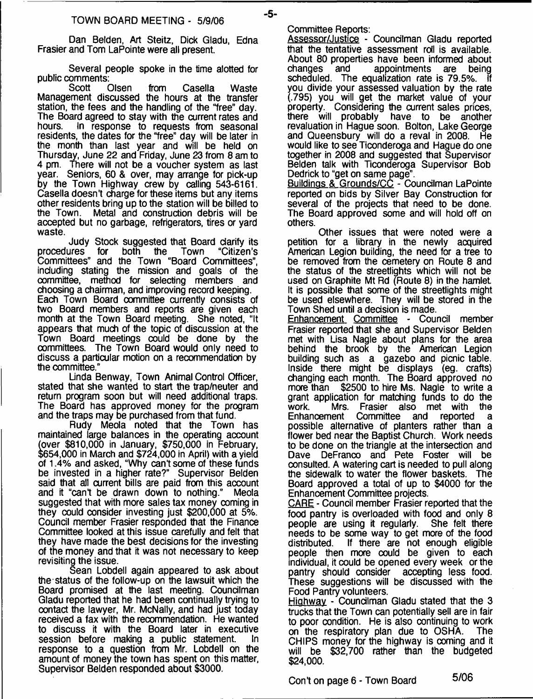Dan Belden, Art Steitz, Dick Gladu, Edna Frasier and Tom LaPointe were all present.

Several people spoke in the time alotted for public comments:<br>Scott Olsen

Scott Olsen from Casella Waste Management discussed the hours at the transfer station, the fees and the handling of the "free" day. The Board agreed to stay with the current rates and<br>hours. In response to requests from seasonal In response to requests from seasonal residents, the dates for the "free" day will be later in the month than last year and will be held on Thursday, June 22 and Friday, June 23 from 8 am to 4 pm. There will not be a voucher system as last year. Seniors, 60 & over, may arrange for pick-up by the Town Highway crew by calling 543-6161. Casella doesn't charge for these items but any items other residents bring up to the station will be billed to the Town. Metal and construction debris will be accepted but no garbage, refrigerators, tires or yard waste.

Judy Stock suggested that Board clarify its<br>procedures for both the Town "Citizen's procedures for both the Town "Citizen's Committees" and the Town "Board Committees", including stating the mission and goals of the committee, method for selecting members and choosing a chairman, and improving record keeping. Each Town Board committee currently consists of two Board members and reports are given each month at the Town Board meeting. She noted, "It appears that much of the topic of discussion at the Town Board meetings could be done by the committees. The Town Board would only need to discuss a particular motion on a recommendation by the committee."

Linda Benway, Town Animal Control Officer, stated that she wanted to start the trap/neuter and return program soon but will need additional traps. The Board has approved money for the program and the traps may be purchased from that fund.

Rudy Meola noted that the Town has maintained large balances in the operating account (over \$810,000 in January, \$750,000 in February, \$654,000 in March and \$724,000 in April) with a yield of 1.4% and asked, "Why cant some of these funds be invested in a higher rate?" Supervisor Belden said that all current bills are paid from this account and it "can't be drawn down to nothing." Meola and it "can't be drawn down to nothing." suggested that with more sales tax money coming in they could consider investing just \$200,000 at 5%. Council member Frasier responded that the Finance Committee looked at this issue carefully and felt that they have made the best decisions for the investing of the money and that it was not necessary to keep revisiting the issue.

Sean Lobdell again appeared to ask about the status of the follow-up on the lawsuit which the Board promised at the last meeting. Councilman Gladu reported that he had been continually trying to oontact the lawyer, Mr. McNally, and had just today received a fax with the recommendation. He wanted to discuss it with the Board later in executive session before making a public statement. In response to a question from Mr. Lobdell on the amount of money the town has spent on this matter, Supervisor Belden responded about \$3000.

Committee Reports:

-5-

Assessor/Justice - Councilman Gladu reported that the tentative assessment roll is available. About 80 properties have been informed about<br>changes and appointments are being appointments are being scheduled. The equalization rate is 79.5%. If you divide your assessed valuation by the rate (.795) you will get the market value of your property. Considering the current sales prices, there will probably have to be another revaluation in Hague soon. Bolton, Lake George and Queensbury will do a reval in 2008. He would like to see Ticonderoga and Hague do one together in 2008 and suggested that Supervisor Belden talk with Ticonderoga Supervisor Bob Dedrick to "get on same page".

Buildings & Grounds/CC - Councilman LaPointe reported on bids by Silver Bay Construction for several of the projects that need to be done. The Board approved some and will hold off on others.

Other issues that were noted were a petition for a library in the newly acquired American Legion building, the need for a tree to be removed from the cemetery on Route 8 and the status of the streetlights which will not be used on Graphite Mt Rd (Route 8) in the hamlet It is possible that some of the streetlights might be used elsewhere. They will be stored in the Town Shed until a decision is made.

Enhancement Committee - Council member Frasier reported that she and Supervisor Belden met with Lisa Nagle about plans for the area behind the brook by the American Legion building such as a gazebo and picnic table. Inside there might be displays (eg. crafts) changing each month. The Board approved no \$2500 to hire Ms. Nagle to write a grant application for matching funds to do the<br>work. Mrs. Frasier also met with the work. Mrs. Frasier also met with<br>Enhancement Committee and reported Committee and reported a possible alternative of planters rather than a flower bed near the Baptist Church. Work needs to be done on the triangle at the intersection and Dave DeFranco and Pete Foster will be consulted. A watering cart is needed to pull along the sidewalk to water the flower baskets. The Board approved a total of up to \$4000 for the Enhancement Committee projects.

CARE - Council member Frasier reported that the food pantry is overloaded with food and only 8 people are using it regularly. needs to be some way to get more of the food If there are not enough eligible people then more could be given to each individual, it could be opened every week or the pantry should consider accepting less food. These suggestions will be discussed with the Food Pantry volunteers.

Highway - Councilman Gladu stated that the 3 trucks that the Town can potentially sell are in fair to poor condition. He is also continuing to work on the respiratory plan due to OSHA. The CHIPS money for the highway is coming and it will be \$32,700 rather than the budgeted \$24,000.

Con't on page 6 - Town Board 5/06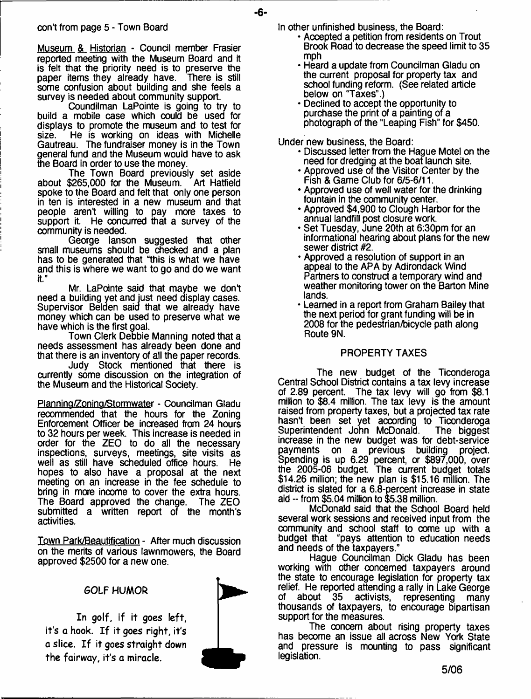Museum & Historian - Council member Frasier reported meeting with the Museum Board and it is felt that the priority need is to preserve the paper items they already have. There is still paper items they already have. some confusion about building and she feels a survey is needed about community support.

Coundilman LaPointe is going to try to build a mobile case which could be used for displays to promote the museum and to test for size. He is working on ideas with Michelle Gautreau. The fundraiser money is in the Town general fund and the Museum would have to ask the Board in order to use the money.

The Town Board previously set aside about \$265,000 for the Museum. Art Hatfield spoke to the Board and felt that only one person in ten is interested in a new museum and that people aren't willing to pay more taxes to support it. He concurred that a survey of the community is needed.

George lanson suggested that other small museums should be checked and a plan has to be generated that "this is what we have and this is where we want to go and do we want it."

Mr. LaPointe said that maybe we don't need a building yet and just need display cases. Supervisor Belden said that we already have money which can be used to preserve what we have which is the first goal.

Town Clerk Debbie Manning noted that a needs assessment has already been done and that there is an inventory of all the paper records.

Judy Stock mentioned that there is currently some discussion on the integration of the Museum and the Historical Society.

Planning/Zoning/Stormwater - Councilman Gladu recommended that the hours for the Zoning Enforcement Officer be increased from 24 hours to 32 hours per week. This increase is needed in order for the ZEO to do all the necessary inspections, surveys, meetings, site visits as well as still have scheduled office hours. He hopes to also have a proposal at the next meeting on an increase in the fee schedule to bring in more income to cover the extra hours. The Board approved the change. The ZEO submitted a written report of the month's activities.

Town Park/Beautification - After much discussion on the merits of various lawnmowers, the Board approved \$2500 for a new one.

# GOLF HUMOR

In golf, if it goes left, it's a hook. If it goes right, it's a slice. If it goes straight down the fairway, it's a miracle.



In other unfinished business, the Board:

**-6-**

- Accepted a petition from residents on Trout Brook Road to decrease the speed limit to 35 mph
- Heard a update from Councilman Gladu on the current proposal for property tax and school funding reform. (See related article below on "Taxes".)
- Declined to accept the opportunity to purchase the print of a painting of a photograph of the "Leaping Fish" for \$450.

Under new business, the Board:

- Discussed letter from the Hague Motel on the need for dredging at the boat launch site.
- Approved use of the Visitor Center by the Fish & Game Club for 6/5-6/11.
- Approved use of well water for the drinking fountain in the community center.
- Approved \$4,900 to Clough Harbor for the annual landfill post closure work.
- Set Tuesday, June 20th at 6:30pm for an informational hearing about plans for the new sewer district #2.
- Approved a resolution of support in an appeal to the APA by Adirondack Wind Partners to construct a temporary wind and weather monitoring tower on the Barton Mine lands.
- Learned in a report from Graham Bailey that the next period for grant funding will be in 2008 for the pedestrian/bicyde path along Route 9N.

### PROPERTY TAXES

The new budget of the Ticonderoga Central School District contains a tax levy increase of 2.89 percent. The tax levy will go from \$8.1 million to \$8.4 million. The tax levy is the amount raised from property taxes, but a projected tax rate hasn't been set yet according to Ticonderoga<br>Superintendent John McDonald. The biggest Superintendent John McDonald. increase in the new budget was for debt-service payments on a previous building project. Spending is up 6.29 percent, or \$897,000, over the 2005-06 budget. The current budget totals \$14.26 million; the new plan is \$15.16 million. The district is slated for a 6.8-percent increase in state aid -- from \$5.04 million to \$5.38 million.

McDonald said that the School Board held several work sessions and received input from the community and school staff to come up with a budget that "pays attention to education needs and needs of the taxpayers."

Hague Councilman Dick Gladu has been working with other concerned taxpayers around the state to encourage legislation for property tax relief. He reported attending a rally in Lake George<br>of about 35 activists, representing many representing many thousands of taxpayers, to encourage bipartisan support for the measures.

The concern about rising property taxes has become an issue all across New York State and pressure is mounting to pass significant legislation.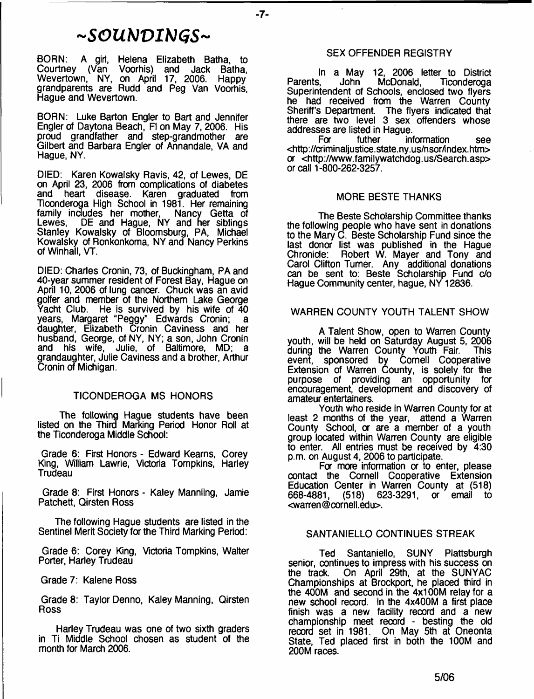# $\sim$ SOUNDINGS~

BORN: A girt, Helena Elizabeth Batha, to Courtney (Van Voorhis) and Jack Batha, Wevertown, NY, on April 17, 2006. Happy grandparents are Rudd and Peg Van Voorhis, Hague and Wevertown.

BORN: Luke Barton Engler to Bart and Jennifer Engler of Daytona Beach, FI on May 7,2006. His proud grandfather and step-grandmother are Gilbert and Barbara Engler of Annandale, VA and Hague, NY.

DIED: Karen Kowalsky Ravis, 42, of Lewes, DE on April 23, 2006 from complications of diabetes and heart disease. Karen graduated from Ticonderoga High School in 1981. Her remaining family includes her mother, Nancy Getta of Lewes, DE and Hague, NY and her siblings Stanley Kowalsky of Bloomsburg, PA, Michael Kowalsky of Ronkonkoma, NY and Nancy Perkins of Winhall, VT.

DIED: Charles Cronin, 73, of Buckingham, PA and 40-year summer resident of Forest Bay, Hague on April 10,2006 of lung cancer. Chuck was an avid golfer and member of the Northern Lake George Yacht Club. He is survived by his wife of 40 years, Margaret "Peggy" Edwards Cronin; daughter, Elizabeth Cronin Caviness and her husband, George, of NY, NY; a son, John Cronin and his wife, Julie, of Baltimore, MD; a grandaughter, Julie Caviness and a brother, Arthur Cronin of Michigan.

#### TICONDEROGA MS HONORS

The following Hague students have been listed on the Third Marking Period Honor Roll at the Ticonderoga Middle School:

Grade 6: First Honors - Edward Kearns, Corey King, William Lawrie, Victoria Tompkins, Harley Trudeau

Grade 8: First Honors - Kaley Manniing, Jamie Patchett, Qirsten Ross

The following Hague students are listed in the Sentinel Merit Society for the Third Marking Period:

Grade 6: Corey King, Victoria Tompkins, Walter Porter, Harley Trudeau

Grade 7: Kalene Ross

Grade 8: Taylor Denno, Kaley Manning, Qirsten Ross

Harley Trudeau was one of two sixth graders in Ti Middle School chosen as student of the month for March 2006.

#### SEX OFFENDER REGISTRY

In a May 12, 2006 letter to District<br>Parents, John McDonald, Ticonderoga **Ticonderoga** Superintendent of Schools, enclosed two flyers he had received from the Warren County Sheriff's Department. The flyers indicated that there are two level 3 sex offenders whose addresses are listed in Hague.<br>For futher int

information see <<http://aiminaljustice.state.ny.us/nsor/index.htm>> a <<http://Www.familywatchdog.us/Search.asp>> or call 1-800-262-3257.

#### MORE BESTE THANKS

The Beste Scholarship Committee thanks the following people who have sent in donations to the Mary C. Beste Scholarship Fund since the last donor list was published in the Hague<br>Chronicle: Robert W. Mayer and Tony and Robert W. Mayer and Tony and Carol Clifton Turner. Any additional donations can be sent to: Beste Scholarship Fund c/o Hague Community center, hague, NY 12836.

#### WARREN COUNTY YOUTH TALENT SHOW

A Talent Show, open to Warren County youth, will be held on Saturday August 5, 2006 during the Warren County Youth Fair. This event, sponsored by Cornell Cooperative Extension of Warren County, is solely for the purpose of providing an opportunity for encouragement, development and discovery of amateur entertainers.

Youth who reside in Warren County for at least 2 months of the year, attend a Warren County School, or are a member of a youth group located within Warren County are eligible to enter. All entries must be received by 4:30 p.m. on August 4, 2006 to participate.

For more information or to enter, please contact the Cornell Cooperative Extension Education Center in Warren County at (518) 623-3291 or <warren @cornell.edu>.

#### SANTANIELLO CONTINUES STREAK

Ted Santaniello, SUNY Plattsburgh senior, continues to impress with his success on the track. On April 29th, at the SUNYAC Championships at Brockport, he placed third in the 400M and second in the 4x100M relay for a new school record. In the 4x400M a first place finish was a new facility reoord and a new championship meet reoord - besting the old reoord set in 1981. On May 5th at Oneonta State, Ted placed first in both the 100M and 200M races.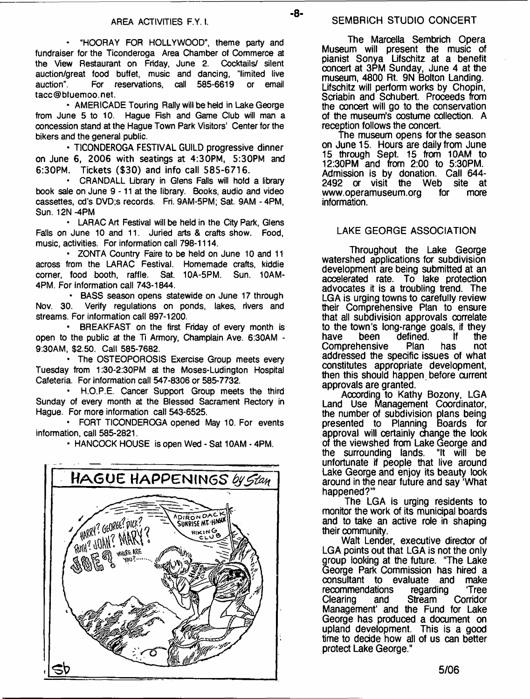**• "HOORAY FOR HOLLYWOOD", theme party and fundraiser for the Ticonderoga Area Chamber of Commerce at the View Restaurant on Friday, June 2. Cocktails/ silent auction/great food buffet, music and dancing, "limited live auction". For reservations, call 585-6619 or email [tacc@bluemoo.net](mailto:tacc@bluemoo.net).**

**• AMERICADE Touring Rally will be held in Lake George from June 5 to 10. Hague Fish and Game Club will man a concession stand at the Hague Town Park Visitors' Center for the bikers and the general public.**

**• TICONDEROGA FESTIVAL GUILD progressive dinner on June 6, 2006 with seatings at 4:30PM, 5:30PM and 6:30PM. Tickets (\$30) and info call 585-6716.**

**• CRANDALL Library in Glens Falls will hold a library book sale on June 9 -11 at the library. Books, audio and video cassettes, cd's DVD;s records. Fit 9AM-5PM; Sat. 9AM - 4PM, Sun. 12N -4PM**

**• LARAC Art Festival will be held in the City Park, Glens Falls on June 10 and 11. Juried arts & crafts show. Food, music, activities. For information call 798-1114.**

**• ZONTA Country Faire to be held on June 10 and 11 across from the LARAC Festival. Homemade crafts, kiddie corner, food booth, raffle. Sat. 10A-5PM. Sun. 10AM-4PM. For information call 743-1844.**

**• BASS season opens statewide on June 17 through Nov. 30. Verify regulations on ponds, lakes, rivers and streams. For information call 897-1200.**

**• BREAKFAST on the first Friday of every month is open to the public at the Ti Armory, Champlain Ave. 6:30AM - 9:30AM, \$2.50. Call 585-7682.**

**• The OSTEOPOROSIS Exercise Group meets every Tuesday from 1:30-2:30PM at the Moses-Ludington Hospital Cafeteria. For information call 547-8306 or 585-7732.**

**• H.O.P.E. Cancer Support Group meets the third Sunday of every month at the Blessed Sacrament Rectory in Hague. For more information call 543-6525.**

**• FORT TICONDEROGA opened May 10. For events information, call 585-2821.**

**• HANCOCK HOUSE is open Wed - Sat 10AM - 4PM.**



The Marcella Sembrich Opera Museum will present the music of pianist Sonya Lifschitz at a benefit concert at 3PM Sunday, June 4 at the museum, 4800 Rt. 9N Bolton Landing. Lifschitz will perform works by Chopin, Scriabin and Schubert. Proceeds from the concert will go to the conservation of the museum's costume collection. A reception follows the concert.

The museum opens for the season on June 15. Hours are daily from June 15 through Sept. 15 from 10AM to 12:30PM and from 2:00 to 5:30PM. Admission is by donation. Call 644- 2492 or visit the Web site at [www.operamuseum.org](http://www.operamuseum.org) for more information.

#### LAKE GEORGE ASSOCIATION

Throughout the Lake George watershed applications for subdivision development are being submitted at an accelerated rate. To lake protection advocates it is a troubling trend. The LGA is urging towns to carefully review their Comprehensive Plan to ensure that all subdivision approvals correlate to the town's long-range goals, if they<br>have been defined. If the have been defined. If the<br>Comprehensive Plan has not **Comprehensive** addressed the specific issues of what constitutes appropriate development, then this should happen before current approvals are granted.

According to Kathy Bozony, LGA Land Use Management Coordinator, the number of subdivision plans being presented to Planning Boards for approval will certainly change the look of the viewshed from Lake George and the surrounding lands. "It will be unfortunate if people that live around Lake George and enjoy its beauty look around in the near future and say 'What happened?'"

The LGA is urging residents to monitor the work of its municipal boards and to take an active role in shaping their community.

Walt Lender, executive director of LGA points out that LGA is not the only group looking at the future. "The Lake George Park Commission has hired a consultant to evaluate and make<br>recommendations regarding 'Tree recommendations regarding Tree Clearing and Stream Corridor Management' and the Fund for Lake George has produced a document on upland development. This is a good time to decide how all of us can better protect Lake George."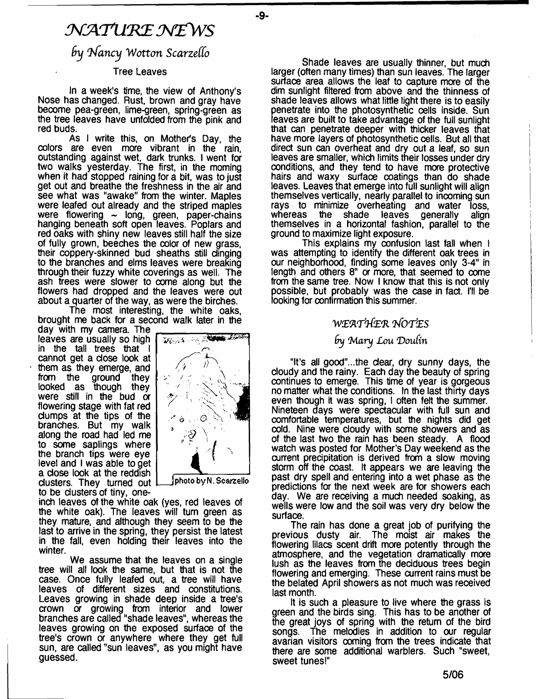# *NATURE NEWS*

**-9-**

 $b$ y *Nancy* Wotton Scarzello

#### Tree Leaves

In a week's time, the view of Anthony's Nose has changed. Rust, brown and gray have become pea-green, lime-green, spring-green as the tree leaves have unfolded from the pink and red buds.

As I write this, on Mother's Day, the colors are even more vibrant in the rain, outstanding against wet, dark trunks. I went for two walks yesterday. The first, in the moming when it had stopped raining for a bit, was to just get out and breathe the freshness in the air and see what was "awake" from the winter. Maples were leafed out already and the striped maples were flowering  $\sim$  long, green, paper-chains hanging beneath soft open leaves. Poplars and red oaks with shiny new leaves still half the size of fully grown, beeches the color of new grass, their coppery-skinned bud sheaths still clinging to the branches and elms leaves were breaking through their fuzzy white coverings as well. The ash trees were slower to oome along but the flowers had dropped and the leaves were out about a quarter of the way, as were the birches.

The most interesting, the white oaks, brought me back for a second walk later in the

day with my camera. The leaves are usually so high in the tall trees that I cannot get a dose look at  $\cdot$  them as they emerge, and from the ground they looked as though they were still in the bud or flowering stage with fat red dumps at the tips of the branches. But my walk along the road had led me to some saplings where the branch tips were eye level and I was able to get a dose look at the reddish dusters. They turned out to be dusters of tiny, one-



**J photo byN. Scarzello**

inch leaves of the white oak (yes, red leaves of the white oak). The leaves will turn green as they mature, and although they seem to be the last to arrive in the spring, they persist the latest in the fall, even holding their leaves into the winter.

We assume that the leaves on a single tree will all look the same, but that is not the case. Once fully leafed out, a tree will have leaves of different sizes and constitutions. Leaves growing in shade deep inside a tree's crown or growing from interior and lower branches are called "shade leaves", whereas the leaves growing on the exposed surface of the tree's crown or anywhere where they get full sun, are called "sun leaves", as you might have guessed.

Shade leaves are usually thinner, but much larger (often many times) than sun leaves. The larger surface area allows the leaf to capture more of the dim sunlight filtered from above and the thinness of shade leaves allows what little light there is to easily penetrate into the photosynthetic cells inside. Sun leaves are built to take advantage of the full sunlight hat can penetrate deeper with thicker leaves that have more layers of photosynthetic cells. But all that direct sun can overheat and dry out a leaf, so sun leaves are smaller, which limits their losses under dry conditions, and they tend to have more protective hairs and waxy surface coatings than do shade leaves. Leaves that emerge into full sunlight will align themselves vertically, nearly parallel to incoming sun rays to minimize overheating and water loss,<br>whereas the shade leaves generally align whereas the shade leaves themselves in a horizontal fashion, parallel to the ground to maximize light exposure.

This explains my confusion last fall when I was attempting to identify the different oak trees in our neighborhood, finding some leaves only 3-4" in length and others 8" or more, that seemed to come from the same tree. Now I know that this is not only possible, but probably was the case in fact. I'll be looking for confirmation this summer.

### *W£Wp}{(E(R l/OTlES*

# *By 4M ary Lou Doufm*

"It's all good"...the dear, dry sunny days, the cloudy and the rainy. Each day the beauty of spring continues to emerge. This time of year is gorgeous no matter what the conditions. In the last thirty days even though it was spring, I often felt the summer. Nineteen days were spectacular with full sun and comfortable temperatures, but the nights did get cold. Nine were cloudy with some showers and as of the last two the rain has been steady. A flood watch was posted for Mother's Day weekend as the current precipitation is derived from a slow moving storm off the coast. It appears we are leaving the past dry spell and entering into a wet phase as the predictions for the next week are for showers each day. We are receiving a much needed soaking, as wells were low and the soil was very dry below the surface.

The rain has done a great job of purifying the previous dusty air. The moist air makes the flowering lilacs scent drift more potently through the atmosphere, and the vegetation dramatically more lush as the leaves from the dedduous trees begin flowering and emerging. These current rains must be the belated April showers as not much was received last month.

It is such a pleasure to live where the grass is green and the birds sing. This has to be another of the great joys of spring with the return of the bird songs. The melodies in addition to our regular avarian visitors coming from the trees indicate that there are some additional warblers. Such "sweet, sweet tunes!"